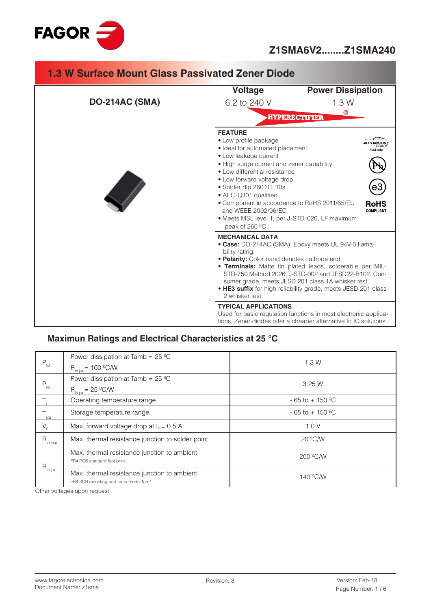

# **Z1SMA6V2........Z1SMA240**

| <b>1.3 W Surface Mount Glass Passivated Zener Diode</b> |                                                                                                                                                                                                                                                                                                                                                                                                                |                                                                                                                                                                                                                                                                                                |  |  |
|---------------------------------------------------------|----------------------------------------------------------------------------------------------------------------------------------------------------------------------------------------------------------------------------------------------------------------------------------------------------------------------------------------------------------------------------------------------------------------|------------------------------------------------------------------------------------------------------------------------------------------------------------------------------------------------------------------------------------------------------------------------------------------------|--|--|
|                                                         | Voltage                                                                                                                                                                                                                                                                                                                                                                                                        | <b>Power Dissipation</b>                                                                                                                                                                                                                                                                       |  |  |
| DO-214AC (SMA)                                          | 6.2 to 240 V                                                                                                                                                                                                                                                                                                                                                                                                   | 1.3W                                                                                                                                                                                                                                                                                           |  |  |
|                                                         |                                                                                                                                                                                                                                                                                                                                                                                                                | $^{\circledR}$<br><b>HYPERECTIFIER</b>                                                                                                                                                                                                                                                         |  |  |
|                                                         | <b>FEATURE</b><br>• Low profile package<br>· Ideal for automated placement<br>• Low leakage current<br>• High surge current and zener capability<br>• Low differential resistance<br>• Low forward voltage drop<br>• Solder dip 260 °C, 10s<br>• AEC-Q101 qualified<br>• Component in accordance to RoHS 2011/65/EU<br>and WEEE 2002/96/EC<br>• Meets MSL level 1, per J-STD-020, LF maximum<br>peak of 260 °C | <b>RoHS</b><br><b>COMPLIANT</b>                                                                                                                                                                                                                                                                |  |  |
|                                                         | <b>MECHANICAL DATA</b><br>bility rating.<br>. Polarity: Color band denotes cathode end.<br>2 whisker test.                                                                                                                                                                                                                                                                                                     | • Case: DO-214AC (SMA). Epoxy meets UL 94V-0 flama-<br>• Terminals: Matte tin plated leads, solderable per MIL-<br>STD-750 Method 2026, J-STD-002 and JESD22-B102. Con-<br>sumer grade, meets JESD 201 class 1A whisker test.<br>• HE3 suffix for high reliability grade, meets JESD 201 class |  |  |
|                                                         | <b>TYPICAL APPLICATIONS</b>                                                                                                                                                                                                                                                                                                                                                                                    | Used for basic regulation functions in most electronic applica-<br>tions, Zener diodes offer a cheaper alternative to IC solutions.                                                                                                                                                            |  |  |

## **Maximun Ratings and Electrical Characteristics at 25 °C**

|                             | Power dissipation at Tamb = $25 \text{ }^{\circ}\text{C}$                                        | 1.3W                           |  |  |
|-----------------------------|--------------------------------------------------------------------------------------------------|--------------------------------|--|--|
| $P_{\text{tot}}$            | $R_{th\,ia} = 100\,{}^{9}C/W$                                                                    |                                |  |  |
|                             | Power dissipation at Tamb = $25 \text{ }^{\circ}\text{C}$                                        | 3.25W                          |  |  |
| $P_{\text{tot}}$            | $R_{th\,ja} = 25\,^{\circ}C/W$                                                                   |                                |  |  |
|                             | Operating temperature range                                                                      | $-65$ to $+150$ <sup>o</sup> C |  |  |
| $\mathsf{T}_{\mathsf{stg}}$ | Storage temperature range                                                                        | $-65$ to $+150$ <sup>o</sup> C |  |  |
| $V_F$                       | Max. forward voltage drop at $IF = 0.5 A$                                                        | 1.0V                           |  |  |
| $R_{th\ j-sp}$              | Max. thermal resistance junction to solder point                                                 | 20 °C/W                        |  |  |
|                             | Max. thermal resistance junction to ambient<br>FR4 PCB standard foot print                       | 200 °C/W                       |  |  |
| $R_{th\,ja}$                | Max. thermal resistance junction to ambient<br>FR4 PCB mounting pad for cathode 1cm <sup>2</sup> | 140 °C/W                       |  |  |

Other voltages upon request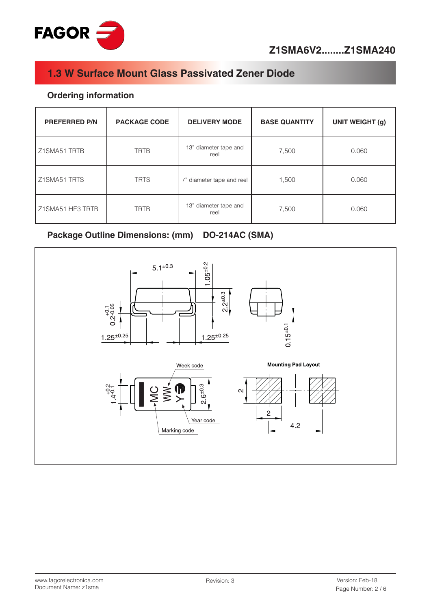

#### **Ordering information**

| <b>PREFERRED P/N</b> | <b>PACKAGE CODE</b> | <b>DELIVERY MODE</b>          | <b>BASE QUANTITY</b> | <b>UNIT WEIGHT (g)</b> |
|----------------------|---------------------|-------------------------------|----------------------|------------------------|
| Z1SMA51 TRTB         | <b>TRTB</b>         | 13" diameter tape and<br>reel | 7,500                | 0.060                  |
| Z1SMA51 TRTS         | <b>TRTS</b>         | 7" diameter tape and reel     | 1,500                | 0.060                  |
| Z1SMA51 HE3 TRTB     | <b>TRTB</b>         | 13" diameter tape and<br>reel | 7,500                | 0.060                  |

#### Package Outline Dimensions: (mm) DO-214AC (SMA)

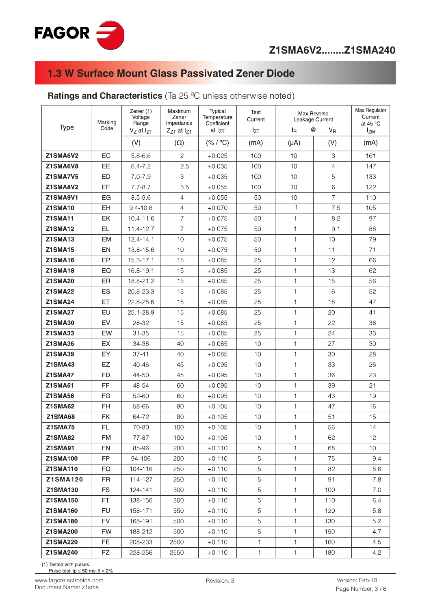

#### **Ratings and Characteristics** (Ta 25 °C unless otherwise noted)

| Type            | Marking<br>Code | Zener (1)<br>Voltage<br>Range | Maximum<br>Zener<br>Impedance | Typical<br>Temperature<br>Coeficient | Test<br>Current        | Max Reverse<br>Leakage Current |                                     | Max Regulator<br>Current<br>at 45 °C |
|-----------------|-----------------|-------------------------------|-------------------------------|--------------------------------------|------------------------|--------------------------------|-------------------------------------|--------------------------------------|
|                 |                 | $V_Z$ at $I_{ZT}$             | $Z_{ZT}$ at $I_{ZT}$          | at Iz <sub>T</sub>                   | <b>I</b> <sub>ZT</sub> | l <sub>R</sub>                 | $^{\copyright}$<br>$V_{\mathsf{R}}$ | <b>IzM</b>                           |
|                 |                 | (V)                           | $(\Omega)$                    | (% / °C)                             | (mA)                   | $(\mu A)$                      | (V)                                 | (mA)                                 |
| <b>Z1SMA6V2</b> | EC              | $5.8 - 6.6$                   | $\overline{c}$                | $+0.025$                             | 100                    | 10                             | 3                                   | 161                                  |
| Z1SMA6V8        | EЕ              | $6.4 - 7.2$                   | 2.5                           | $+0.035$                             | 100                    | 10                             | $\overline{4}$                      | 147                                  |
| <b>Z1SMA7V5</b> | ED              | $7.0 - 7.9$                   | 3                             | $+0.035$                             | 100                    | 10                             | 5                                   | 133                                  |
| <b>Z1SMA8V2</b> | EF              | $7.7 - 8.7$                   | 3.5                           | $+0.055$                             | 100                    | 10                             | 6                                   | 122                                  |
| <b>Z1SMA9V1</b> | EG              | $8.5 - 9.6$                   | 4                             | $+0.055$                             | 50                     | 10                             | $\overline{7}$                      | 110                                  |
| <b>Z1SMA10</b>  | EH              | $9.4 - 10.6$                  | $\overline{4}$                | $+0.070$                             | 50                     | $\mathbf{1}$                   | 7.5                                 | 105                                  |
| <b>Z1SMA11</b>  | EK              | 10.4-11.6                     | $\overline{7}$                | $+0.075$                             | 50                     | 1                              | 8.2                                 | 97                                   |
| <b>Z1SMA12</b>  | EL.             | $11.4 - 12.7$                 | $\overline{7}$                | $+0.075$                             | 50                     | $\mathbf{1}$                   | 9.1                                 | 88                                   |
| <b>Z1SMA13</b>  | EM              | $12.4 - 14.1$                 | 10                            | $+0.075$                             | 50                     | $\mathbf{1}$                   | 10                                  | 79                                   |
| <b>Z1SMA15</b>  | EN              | 13.8-15.6                     | 10                            | $+0.075$                             | 50                     | $\mathbf{1}$                   | 11                                  | 71                                   |
| <b>Z1SMA16</b>  | EP              | $15.3 - 17.1$                 | 15                            | $+0.085$                             | 25                     | 1                              | 12                                  | 66                                   |
| <b>Z1SMA18</b>  | EQ              | 16.8-19.1                     | 15                            | $+0.085$                             | 25                     | $\mathbf{1}$                   | 13                                  | 62                                   |
| <b>Z1SMA20</b>  | ER.             | 18.8-21.2                     | 15                            | $+0.085$                             | 25                     | $\mathbf{1}$                   | 15                                  | 56                                   |
| <b>Z1SMA22</b>  | ES              | 20.8-23.3                     | 15                            | $+0.085$                             | 25                     | $\mathbf{1}$                   | 16                                  | 52                                   |
| <b>Z1SMA24</b>  | ET.             | 22.8-25.6                     | 15                            | $+0.085$                             | 25                     | $\mathbf{1}$                   | 18                                  | 47                                   |
| <b>Z1SMA27</b>  | EU              | 25.1-28.9                     | 15                            | $+0.085$                             | 25                     | 1                              | 20                                  | 41                                   |
| <b>Z1SMA30</b>  | EV              | 28-32                         | 15                            | $+0.085$                             | 25                     | $\mathbf{1}$                   | 22                                  | 36                                   |
| <b>Z1SMA33</b>  | EW              | $31 - 35$                     | 15                            | $+0.085$                             | 25                     | $\mathbf{1}$                   | 24                                  | 33                                   |
| <b>Z1SMA36</b>  | EX              | 34-38                         | 40                            | $+0.085$                             | 10                     | $\mathbf{1}$                   | 27                                  | 30                                   |
| <b>Z1SMA39</b>  | EY              | $37 - 41$                     | 40                            | $+0.085$                             | 10                     | $\mathbf{1}$                   | 30                                  | 28                                   |
| <b>Z1SMA43</b>  | EZ              | 40-46                         | 45                            | $+0.095$                             | 10                     | $\mathbf{1}$                   | 33                                  | 26                                   |
| <b>Z1SMA47</b>  | FD              | 44-50                         | 45                            | $+0.095$                             | 10                     | $\mathbf{1}$                   | 36                                  | 23                                   |
| <b>Z1SMA51</b>  | FF              | 48-54                         | 60                            | $+0.095$                             | 10                     | 1                              | 39                                  | 21                                   |
| <b>Z1SMA56</b>  | FG              | 52-60                         | 60                            | $+0.095$                             | 10                     | 1                              | 43                                  | 19                                   |
| <b>Z1SMA62</b>  | FH              | 58-66                         | 80                            | $+0.105$                             | 10                     | $\mathbf{1}$                   | 47                                  | 16                                   |
| <b>Z1SMA68</b>  | FK              | 64-72                         | 80                            | $+0.105$                             | 10                     | 1                              | 51                                  | 15                                   |
| <b>Z1SMA75</b>  | FL              | 70-80                         | 100                           | $+0.105$                             | 10                     | 1                              | 56                                  | 14                                   |
| <b>Z1SMA82</b>  | FM              | 77-87                         | 100                           | $+0.105$                             | 10                     | $\mathbf{1}$                   | 62                                  | 12                                   |
| <b>Z1SMA91</b>  | FN.             | 85-96                         | 200                           | $+0.110$                             | 5                      | 1                              | 68                                  | 10                                   |
| <b>Z1SMA100</b> | FP.             | 94-106                        | 200                           | $+0.110$                             | 5                      | $\mathbf{1}$                   | 75                                  | 9.4                                  |
| <b>Z1SMA110</b> | FQ.             | 104-116                       | 250                           | $+0.110$                             | 5                      | 1                              | 82                                  | 8.6                                  |
| <b>Z1SMA120</b> | FR.             | 114-127                       | 250                           | $+0.110$                             | $\mathbf 5$            | 1.                             | 91                                  | 7.8                                  |
| <b>Z1SMA130</b> | <b>FS</b>       | 124-141                       | 300                           | $+0.110$                             | 5                      | 1                              | 100                                 | 7.0                                  |
| <b>Z1SMA150</b> | FT              | 138-156                       | 300                           | $+0.110$                             | 5                      | 1                              | 110                                 | 6.4                                  |
| <b>Z1SMA160</b> | <b>FU</b>       | 158-171                       | 350                           | $+0.110$                             | 5                      | 1                              | 120                                 | 5.8                                  |
| <b>Z1SMA180</b> | FV.             | 168-191                       | 500                           | $+0.110$                             | 5                      | 1                              | 130                                 | 5.2                                  |
| <b>Z1SMA200</b> | FW              | 188-212                       | 500                           | $+0.110$                             | 5                      | $\mathbf{1}$                   | 150                                 | 4.7                                  |
| <b>Z1SMA220</b> | FE              | 208-233                       | 2500                          | $+0.110$                             | $\mathbf{1}$           | $\mathbf{1}$                   | 160                                 | 4.5                                  |
| <b>Z1SMA240</b> | FZ              | 228-256                       | 2550                          | $+0.110$                             | 1.                     | $\mathbf{1}$                   | 180                                 | 4.2                                  |

(1) Tested with pulses.

Pulse test: tp  $\leq$  50 ms;  $\delta$  < 2%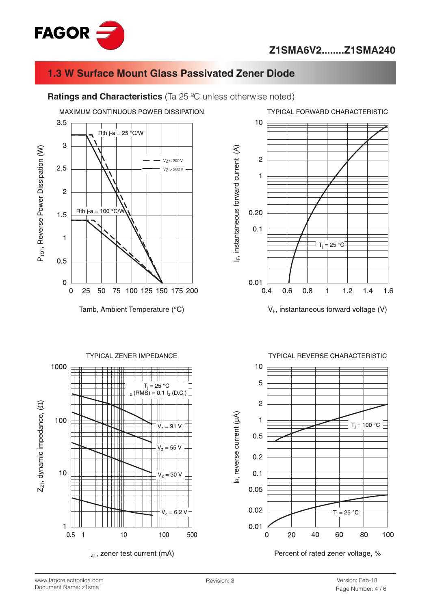

#### **Ratings and Characteristics** (Ta 25 ºC unless otherwise noted)



Tamb, Ambient Temperature (°C)



 $V_F$ , instantaneous forward voltage (V)



www.fagorelectronica.com Document Name: z1sma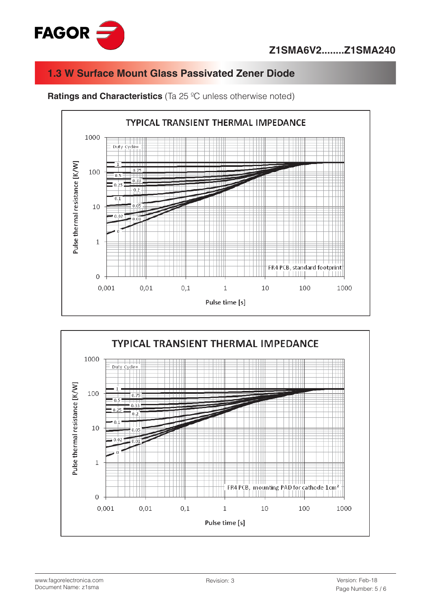



**Ratings and Characteristics** (Ta 25 °C unless otherwise noted)